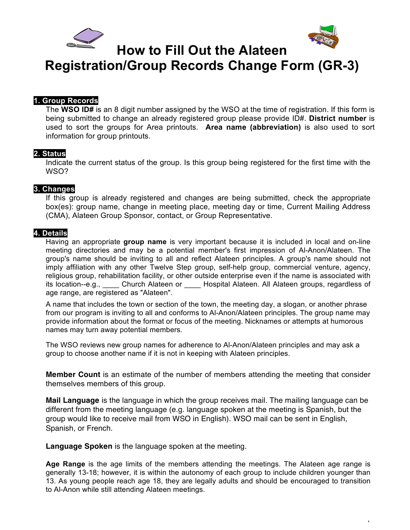



1

**How to Fill Out the Alateen**

**Registration/Group Records Change Form (GR-3)**

### **1. Group Records**

The **WSO ID#** is an 8 digit number assigned by the WSO at the time of registration. If this form is being submitted to change an already registered group please provide ID#. **District number** is used to sort the groups for Area printouts. **Area name (abbreviation)** is also used to sort information for group printouts.

### **2. Status**

Indicate the current status of the group. Is this group being registered for the first time with the WSO?

# **3. Changes**

If this group is already registered and changes are being submitted, check the appropriate box(es): group name, change in meeting place, meeting day or time, Current Mailing Address (CMA), Alateen Group Sponsor, contact, or Group Representative.

# **4. Details**

Having an appropriate **group name** is very important because it is included in local and on-line meeting directories and may be a potential member's first impression of Al-Anon/Alateen. The group's name should be inviting to all and reflect Alateen principles. A group's name should not imply affiliation with any other Twelve Step group, self-help group, commercial venture, agency, religious group, rehabilitation facility, or other outside enterprise even if the name is associated with its location--e.g., \_\_\_\_ Church Alateen or \_\_\_\_ Hospital Alateen. All Alateen groups, regardless of age range, are registered as "Alateen".

A name that includes the town or section of the town, the meeting day, a slogan, or another phrase from our program is inviting to all and conforms to Al-Anon/Alateen principles. The group name may provide information about the format or focus of the meeting. Nicknames or attempts at humorous names may turn away potential members.

The WSO reviews new group names for adherence to Al-Anon/Alateen principles and may ask a group to choose another name if it is not in keeping with Alateen principles.

**Member Count** is an estimate of the number of members attending the meeting that consider themselves members of this group.

**Mail Language** is the language in which the group receives mail. The mailing language can be different from the meeting language (e.g. language spoken at the meeting is Spanish, but the group would like to receive mail from WSO in English). WSO mail can be sent in English, Spanish, or French.

**Language Spoken** is the language spoken at the meeting.

**Age Range** is the age limits of the members attending the meetings. The Alateen age range is generally 13-18; however, it is within the autonomy of each group to include children younger than 13. As young people reach age 18, they are legally adults and should be encouraged to transition to Al-Anon while still attending Alateen meetings.